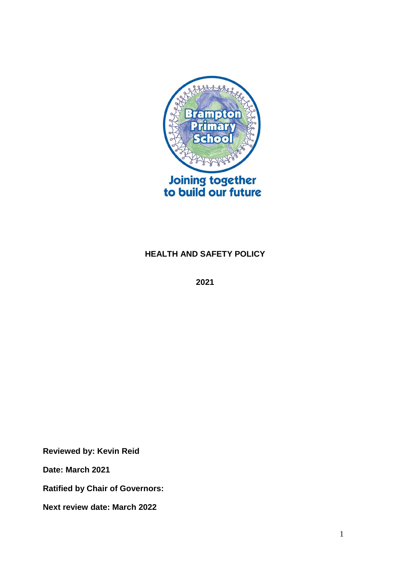

# **HEALTH AND SAFETY POLICY**

**2021**

**Reviewed by: Kevin Reid**

**Date: March 2021**

**Ratified by Chair of Governors:**

**Next review date: March 2022**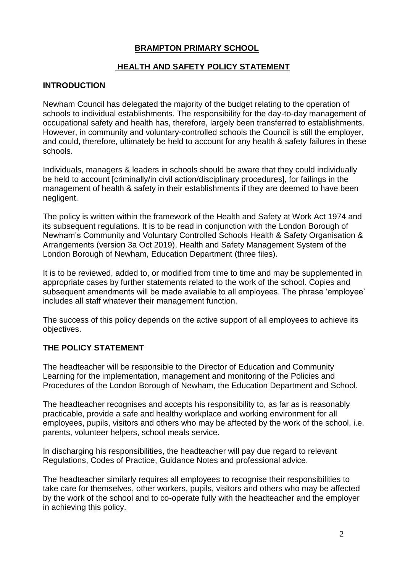### **BRAMPTON PRIMARY SCHOOL**

## **HEALTH AND SAFETY POLICY STATEMENT**

### **INTRODUCTION**

Newham Council has delegated the majority of the budget relating to the operation of schools to individual establishments. The responsibility for the day-to-day management of occupational safety and health has, therefore, largely been transferred to establishments. However, in community and voluntary-controlled schools the Council is still the employer, and could, therefore, ultimately be held to account for any health & safety failures in these schools.

Individuals, managers & leaders in schools should be aware that they could individually be held to account [criminally/in civil action/disciplinary procedures], for failings in the management of health & safety in their establishments if they are deemed to have been negligent.

The policy is written within the framework of the Health and Safety at Work Act 1974 and its subsequent regulations. It is to be read in conjunction with the London Borough of Newham's Community and Voluntary Controlled Schools Health & Safety Organisation & Arrangements (version 3a Oct 2019), Health and Safety Management System of the London Borough of Newham, Education Department (three files).

It is to be reviewed, added to, or modified from time to time and may be supplemented in appropriate cases by further statements related to the work of the school. Copies and subsequent amendments will be made available to all employees. The phrase 'employee' includes all staff whatever their management function.

The success of this policy depends on the active support of all employees to achieve its objectives.

#### **THE POLICY STATEMENT**

The headteacher will be responsible to the Director of Education and Community Learning for the implementation, management and monitoring of the Policies and Procedures of the London Borough of Newham, the Education Department and School.

The headteacher recognises and accepts his responsibility to, as far as is reasonably practicable, provide a safe and healthy workplace and working environment for all employees, pupils, visitors and others who may be affected by the work of the school, i.e. parents, volunteer helpers, school meals service.

In discharging his responsibilities, the headteacher will pay due regard to relevant Regulations, Codes of Practice, Guidance Notes and professional advice.

The headteacher similarly requires all employees to recognise their responsibilities to take care for themselves, other workers, pupils, visitors and others who may be affected by the work of the school and to co-operate fully with the headteacher and the employer in achieving this policy.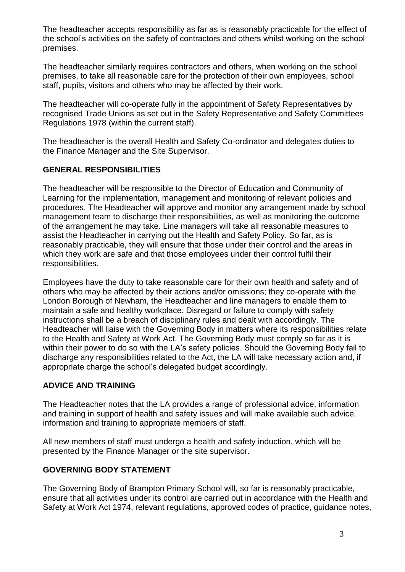The headteacher accepts responsibility as far as is reasonably practicable for the effect of the school's activities on the safety of contractors and others whilst working on the school premises.

The headteacher similarly requires contractors and others, when working on the school premises, to take all reasonable care for the protection of their own employees, school staff, pupils, visitors and others who may be affected by their work.

The headteacher will co-operate fully in the appointment of Safety Representatives by recognised Trade Unions as set out in the Safety Representative and Safety Committees Regulations 1978 (within the current staff).

The headteacher is the overall Health and Safety Co-ordinator and delegates duties to the Finance Manager and the Site Supervisor.

## **GENERAL RESPONSIBILITIES**

The headteacher will be responsible to the Director of Education and Community of Learning for the implementation, management and monitoring of relevant policies and procedures. The Headteacher will approve and monitor any arrangement made by school management team to discharge their responsibilities, as well as monitoring the outcome of the arrangement he may take. Line managers will take all reasonable measures to assist the Headteacher in carrying out the Health and Safety Policy. So far, as is reasonably practicable, they will ensure that those under their control and the areas in which they work are safe and that those employees under their control fulfil their responsibilities.

Employees have the duty to take reasonable care for their own health and safety and of others who may be affected by their actions and/or omissions; they co-operate with the London Borough of Newham, the Headteacher and line managers to enable them to maintain a safe and healthy workplace. Disregard or failure to comply with safety instructions shall be a breach of disciplinary rules and dealt with accordingly. The Headteacher will liaise with the Governing Body in matters where its responsibilities relate to the Health and Safety at Work Act. The Governing Body must comply so far as it is within their power to do so with the LA's safety policies. Should the Governing Body fail to discharge any responsibilities related to the Act, the LA will take necessary action and, if appropriate charge the school's delegated budget accordingly.

### **ADVICE AND TRAINING**

The Headteacher notes that the LA provides a range of professional advice, information and training in support of health and safety issues and will make available such advice, information and training to appropriate members of staff.

All new members of staff must undergo a health and safety induction, which will be presented by the Finance Manager or the site supervisor.

# **GOVERNING BODY STATEMENT**

The Governing Body of Brampton Primary School will, so far is reasonably practicable, ensure that all activities under its control are carried out in accordance with the Health and Safety at Work Act 1974, relevant regulations, approved codes of practice, guidance notes,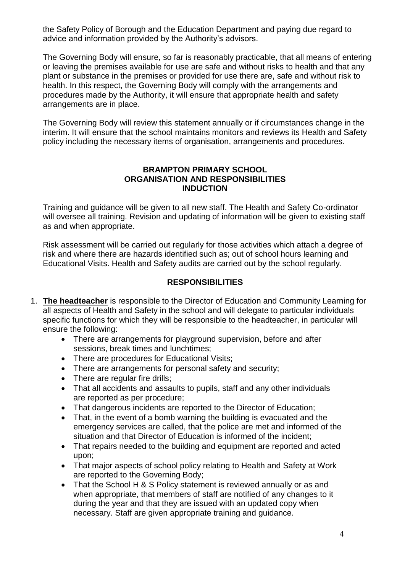the Safety Policy of Borough and the Education Department and paying due regard to advice and information provided by the Authority's advisors.

The Governing Body will ensure, so far is reasonably practicable, that all means of entering or leaving the premises available for use are safe and without risks to health and that any plant or substance in the premises or provided for use there are, safe and without risk to health. In this respect, the Governing Body will comply with the arrangements and procedures made by the Authority, it will ensure that appropriate health and safety arrangements are in place.

The Governing Body will review this statement annually or if circumstances change in the interim. It will ensure that the school maintains monitors and reviews its Health and Safety policy including the necessary items of organisation, arrangements and procedures.

#### **BRAMPTON PRIMARY SCHOOL ORGANISATION AND RESPONSIBILITIES INDUCTION**

Training and guidance will be given to all new staff. The Health and Safety Co-ordinator will oversee all training. Revision and updating of information will be given to existing staff as and when appropriate.

Risk assessment will be carried out regularly for those activities which attach a degree of risk and where there are hazards identified such as; out of school hours learning and Educational Visits. Health and Safety audits are carried out by the school regularly.

## **RESPONSIBILITIES**

- 1. **The headteacher** is responsible to the Director of Education and Community Learning for all aspects of Health and Safety in the school and will delegate to particular individuals specific functions for which they will be responsible to the headteacher, in particular will ensure the following:
	- There are arrangements for playground supervision, before and after sessions, break times and lunchtimes;
	- There are procedures for Educational Visits:
	- There are arrangements for personal safety and security;
	- There are regular fire drills;
	- That all accidents and assaults to pupils, staff and any other individuals are reported as per procedure;
	- That dangerous incidents are reported to the Director of Education;
	- That, in the event of a bomb warning the building is evacuated and the emergency services are called, that the police are met and informed of the situation and that Director of Education is informed of the incident;
	- That repairs needed to the building and equipment are reported and acted upon;
	- That major aspects of school policy relating to Health and Safety at Work are reported to the Governing Body;
	- That the School H & S Policy statement is reviewed annually or as and when appropriate, that members of staff are notified of any changes to it during the year and that they are issued with an updated copy when necessary. Staff are given appropriate training and guidance.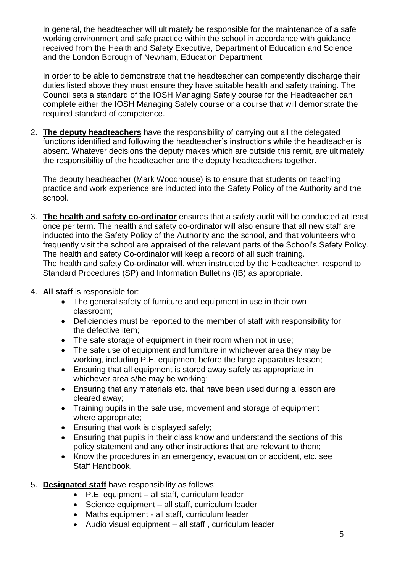In general, the headteacher will ultimately be responsible for the maintenance of a safe working environment and safe practice within the school in accordance with guidance received from the Health and Safety Executive, Department of Education and Science and the London Borough of Newham, Education Department.

In order to be able to demonstrate that the headteacher can competently discharge their duties listed above they must ensure they have suitable health and safety training. The Council sets a standard of the IOSH Managing Safely course for the Headteacher can complete either the IOSH Managing Safely course or a course that will demonstrate the required standard of competence.

2. **The deputy headteachers** have the responsibility of carrying out all the delegated functions identified and following the headteacher's instructions while the headteacher is absent. Whatever decisions the deputy makes which are outside this remit, are ultimately the responsibility of the headteacher and the deputy headteachers together.

The deputy headteacher (Mark Woodhouse) is to ensure that students on teaching practice and work experience are inducted into the Safety Policy of the Authority and the school.

- 3. **The health and safety co-ordinator** ensures that a safety audit will be conducted at least once per term. The health and safety co-ordinator will also ensure that all new staff are inducted into the Safety Policy of the Authority and the school, and that volunteers who frequently visit the school are appraised of the relevant parts of the School's Safety Policy. The health and safety Co-ordinator will keep a record of all such training. The health and safety Co-ordinator will, when instructed by the Headteacher, respond to Standard Procedures (SP) and Information Bulletins (IB) as appropriate.
- 4. **All staff** is responsible for:
	- The general safety of furniture and equipment in use in their own classroom;
	- Deficiencies must be reported to the member of staff with responsibility for the defective item;
	- The safe storage of equipment in their room when not in use;
	- The safe use of equipment and furniture in whichever area they may be working, including P.E. equipment before the large apparatus lesson;
	- Ensuring that all equipment is stored away safely as appropriate in whichever area s/he may be working:
	- Ensuring that any materials etc. that have been used during a lesson are cleared away;
	- Training pupils in the safe use, movement and storage of equipment where appropriate;
	- **Ensuring that work is displayed safely;**
	- Ensuring that pupils in their class know and understand the sections of this policy statement and any other instructions that are relevant to them;
	- Know the procedures in an emergency, evacuation or accident, etc. see Staff Handbook.
- 5. **Designated staff** have responsibility as follows:
	- P.E. equipment all staff, curriculum leader
	- Science equipment all staff, curriculum leader
	- Maths equipment all staff, curriculum leader
	- Audio visual equipment all staff , curriculum leader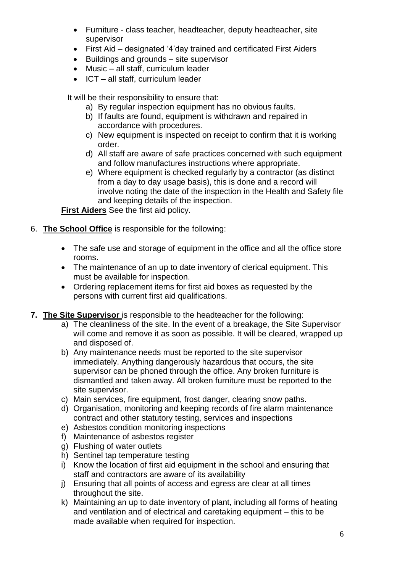- Furniture class teacher, headteacher, deputy headteacher, site supervisor
- First Aid designated '4'day trained and certificated First Aiders
- Buildings and grounds site supervisor
- Music all staff, curriculum leader
- $\bullet$  ICT all staff, curriculum leader

It will be their responsibility to ensure that:

- a) By regular inspection equipment has no obvious faults.
- b) If faults are found, equipment is withdrawn and repaired in accordance with procedures.
- c) New equipment is inspected on receipt to confirm that it is working order.
- d) All staff are aware of safe practices concerned with such equipment and follow manufactures instructions where appropriate.
- e) Where equipment is checked regularly by a contractor (as distinct from a day to day usage basis), this is done and a record will involve noting the date of the inspection in the Health and Safety file and keeping details of the inspection.

**First Aiders** See the first aid policy.

- 6. **The School Office** is responsible for the following:
	- The safe use and storage of equipment in the office and all the office store rooms.
	- The maintenance of an up to date inventory of clerical equipment. This must be available for inspection.
	- Ordering replacement items for first aid boxes as requested by the persons with current first aid qualifications.
- **7. The Site Supervisor** is responsible to the headteacher for the following:
	- a) The cleanliness of the site. In the event of a breakage, the Site Supervisor will come and remove it as soon as possible. It will be cleared, wrapped up and disposed of.
	- b) Any maintenance needs must be reported to the site supervisor immediately. Anything dangerously hazardous that occurs, the site supervisor can be phoned through the office. Any broken furniture is dismantled and taken away. All broken furniture must be reported to the site supervisor.
	- c) Main services, fire equipment, frost danger, clearing snow paths.
	- d) Organisation, monitoring and keeping records of fire alarm maintenance contract and other statutory testing, services and inspections
	- e) Asbestos condition monitoring inspections
	- f) Maintenance of asbestos register
	- g) Flushing of water outlets
	- h) Sentinel tap temperature testing
	- i) Know the location of first aid equipment in the school and ensuring that staff and contractors are aware of its availability
	- j) Ensuring that all points of access and egress are clear at all times throughout the site.
	- k) Maintaining an up to date inventory of plant, including all forms of heating and ventilation and of electrical and caretaking equipment – this to be made available when required for inspection.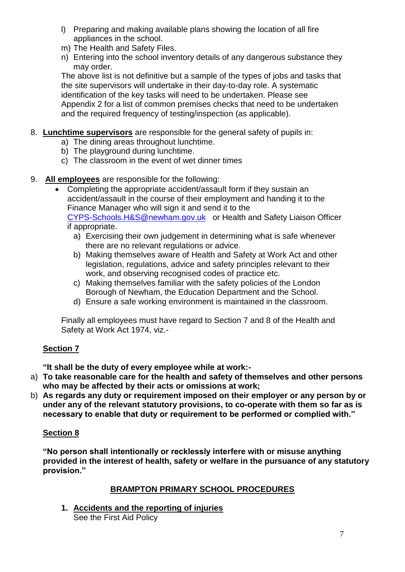- l) Preparing and making available plans showing the location of all fire appliances in the school.
- m) The Health and Safety Files.
- n) Entering into the school inventory details of any dangerous substance they may order.

The above list is not definitive but a sample of the types of jobs and tasks that the site supervisors will undertake in their day-to-day role. A systematic identification of the key tasks will need to be undertaken. Please see Appendix 2 for a list of common premises checks that need to be undertaken and the required frequency of testing/inspection (as applicable).

- 8. **Lunchtime supervisors** are responsible for the general safety of pupils in:
	- a) The dining areas throughout lunchtime.
	- b) The playground during lunchtime.
	- c) The classroom in the event of wet dinner times
- 9. **All employees** are responsible for the following:
	- Completing the appropriate accident/assault form if they sustain an accident/assault in the course of their employment and handing it to the Finance Manager who will sign it and send it to the [CYPS-Schools.H&S@newham.gov.uk](mailto:CYPS-Schools.H&S@newham.gov.uk) or Health and Safety Liaison Officer if appropriate.
		- a) Exercising their own judgement in determining what is safe whenever there are no relevant regulations or advice.
		- b) Making themselves aware of Health and Safety at Work Act and other legislation, regulations, advice and safety principles relevant to their work, and observing recognised codes of practice etc.
		- c) Making themselves familiar with the safety policies of the London Borough of Newham, the Education Department and the School.
		- d) Ensure a safe working environment is maintained in the classroom.

Finally all employees must have regard to Section 7 and 8 of the Health and Safety at Work Act 1974, viz.-

# **Section 7**

**"It shall be the duty of every employee while at work:-**

- a) **To take reasonable care for the health and safety of themselves and other persons who may be affected by their acts or omissions at work;**
- b) **As regards any duty or requirement imposed on their employer or any person by or under any of the relevant statutory provisions, to co-operate with them so far as is necessary to enable that duty or requirement to be performed or complied with."**

# **Section 8**

**"No person shall intentionally or recklessly interfere with or misuse anything provided in the interest of health, safety or welfare in the pursuance of any statutory provision."** 

# **BRAMPTON PRIMARY SCHOOL PROCEDURES**

**1. Accidents and the reporting of injuries** See the First Aid Policy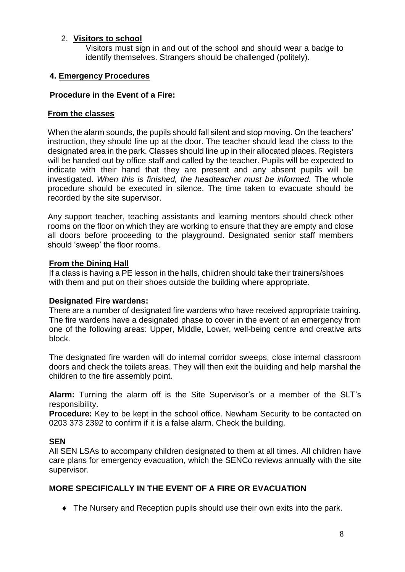### 2. **Visitors to school**

Visitors must sign in and out of the school and should wear a badge to identify themselves. Strangers should be challenged (politely).

#### **4. Emergency Procedures**

#### **Procedure in the Event of a Fire:**

#### **From the classes**

When the alarm sounds, the pupils should fall silent and stop moving. On the teachers' instruction, they should line up at the door. The teacher should lead the class to the designated area in the park. Classes should line up in their allocated places. Registers will be handed out by office staff and called by the teacher. Pupils will be expected to indicate with their hand that they are present and any absent pupils will be investigated. *When this is finished, the headteacher must be informed.* The whole procedure should be executed in silence. The time taken to evacuate should be recorded by the site supervisor.

Any support teacher, teaching assistants and learning mentors should check other rooms on the floor on which they are working to ensure that they are empty and close all doors before proceeding to the playground. Designated senior staff members should 'sweep' the floor rooms.

#### **From the Dining Hall**

If a class is having a PE lesson in the halls, children should take their trainers/shoes with them and put on their shoes outside the building where appropriate.

#### **Designated Fire wardens:**

There are a number of designated fire wardens who have received appropriate training. The fire wardens have a designated phase to cover in the event of an emergency from one of the following areas: Upper, Middle, Lower, well-being centre and creative arts block.

The designated fire warden will do internal corridor sweeps, close internal classroom doors and check the toilets areas. They will then exit the building and help marshal the children to the fire assembly point.

**Alarm:** Turning the alarm off is the Site Supervisor's or a member of the SLT's responsibility.

**Procedure:** Key to be kept in the school office. Newham Security to be contacted on 0203 373 2392 to confirm if it is a false alarm. Check the building.

#### **SEN**

All SEN LSAs to accompany children designated to them at all times. All children have care plans for emergency evacuation, which the SENCo reviews annually with the site supervisor.

### **MORE SPECIFICALLY IN THE EVENT OF A FIRE OR EVACUATION**

The Nursery and Reception pupils should use their own exits into the park.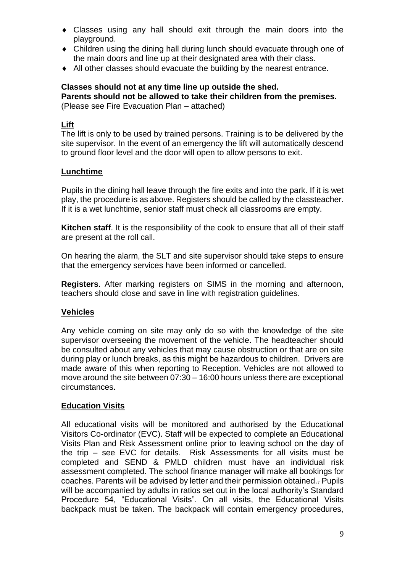- Classes using any hall should exit through the main doors into the playground.
- Children using the dining hall during lunch should evacuate through one of the main doors and line up at their designated area with their class.
- All other classes should evacuate the building by the nearest entrance.

#### **Classes should not at any time line up outside the shed. Parents should not be allowed to take their children from the premises.** (Please see Fire Evacuation Plan – attached)

### **Lift**

The lift is only to be used by trained persons. Training is to be delivered by the site supervisor. In the event of an emergency the lift will automatically descend to ground floor level and the door will open to allow persons to exit.

#### **Lunchtime**

Pupils in the dining hall leave through the fire exits and into the park. If it is wet play, the procedure is as above. Registers should be called by the classteacher. If it is a wet lunchtime, senior staff must check all classrooms are empty.

**Kitchen staff**. It is the responsibility of the cook to ensure that all of their staff are present at the roll call.

On hearing the alarm, the SLT and site supervisor should take steps to ensure that the emergency services have been informed or cancelled.

**Registers**. After marking registers on SIMS in the morning and afternoon, teachers should close and save in line with registration guidelines.

#### **Vehicles**

Any vehicle coming on site may only do so with the knowledge of the site supervisor overseeing the movement of the vehicle. The headteacher should be consulted about any vehicles that may cause obstruction or that are on site during play or lunch breaks, as this might be hazardous to children. Drivers are made aware of this when reporting to Reception. Vehicles are not allowed to move around the site between 07:30 – 16:00 hours unless there are exceptional circumstances.

#### **Education Visits**

All educational visits will be monitored and authorised by the Educational Visitors Co-ordinator (EVC). Staff will be expected to complete an Educational Visits Plan and Risk Assessment online prior to leaving school on the day of the trip – see EVC for details. Risk Assessments for all visits must be completed and SEND & PMLD children must have an individual risk assessment completed. The school finance manager will make all bookings for coaches. Parents will be advised by letter and their permission obtained.. Pupils will be accompanied by adults in ratios set out in the local authority's Standard Procedure 54, "Educational Visits". On all visits, the Educational Visits backpack must be taken. The backpack will contain emergency procedures,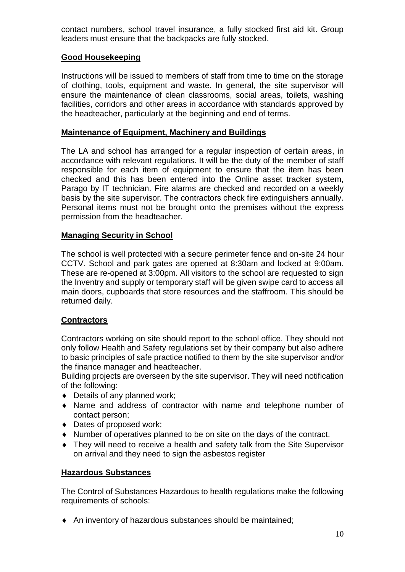contact numbers, school travel insurance, a fully stocked first aid kit. Group leaders must ensure that the backpacks are fully stocked.

### **Good Housekeeping**

Instructions will be issued to members of staff from time to time on the storage of clothing, tools, equipment and waste. In general, the site supervisor will ensure the maintenance of clean classrooms, social areas, toilets, washing facilities, corridors and other areas in accordance with standards approved by the headteacher, particularly at the beginning and end of terms.

#### **Maintenance of Equipment, Machinery and Buildings**

The LA and school has arranged for a regular inspection of certain areas, in accordance with relevant regulations. It will be the duty of the member of staff responsible for each item of equipment to ensure that the item has been checked and this has been entered into the Online asset tracker system, Parago by IT technician. Fire alarms are checked and recorded on a weekly basis by the site supervisor. The contractors check fire extinguishers annually. Personal items must not be brought onto the premises without the express permission from the headteacher.

#### **Managing Security in School**

The school is well protected with a secure perimeter fence and on-site 24 hour CCTV. School and park gates are opened at 8:30am and locked at 9:00am. These are re-opened at 3:00pm. All visitors to the school are requested to sign the Inventry and supply or temporary staff will be given swipe card to access all main doors, cupboards that store resources and the staffroom. This should be returned daily.

### **Contractors**

Contractors working on site should report to the school office. They should not only follow Health and Safety regulations set by their company but also adhere to basic principles of safe practice notified to them by the site supervisor and/or the finance manager and headteacher.

Building projects are overseen by the site supervisor. They will need notification of the following:

- ◆ Details of any planned work;
- Name and address of contractor with name and telephone number of contact person;
- Dates of proposed work;
- Number of operatives planned to be on site on the days of the contract.
- They will need to receive a health and safety talk from the Site Supervisor on arrival and they need to sign the asbestos register

#### **Hazardous Substances**

The Control of Substances Hazardous to health regulations make the following requirements of schools:

An inventory of hazardous substances should be maintained;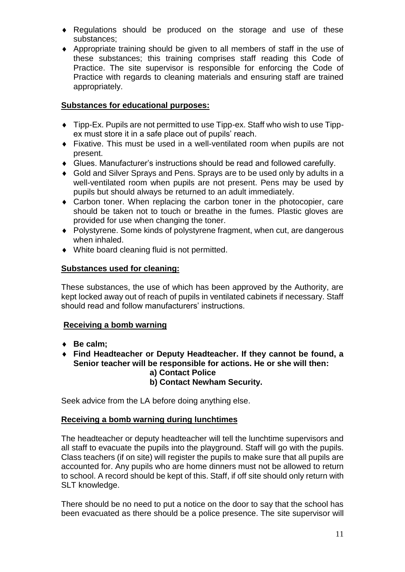- Regulations should be produced on the storage and use of these substances;
- Appropriate training should be given to all members of staff in the use of these substances; this training comprises staff reading this Code of Practice. The site supervisor is responsible for enforcing the Code of Practice with regards to cleaning materials and ensuring staff are trained appropriately.

## **Substances for educational purposes:**

- Tipp-Ex. Pupils are not permitted to use Tipp-ex. Staff who wish to use Tippex must store it in a safe place out of pupils' reach.
- Fixative. This must be used in a well-ventilated room when pupils are not present.
- Glues. Manufacturer's instructions should be read and followed carefully.
- Gold and Silver Sprays and Pens. Sprays are to be used only by adults in a well-ventilated room when pupils are not present. Pens may be used by pupils but should always be returned to an adult immediately.
- Carbon toner. When replacing the carbon toner in the photocopier, care should be taken not to touch or breathe in the fumes. Plastic gloves are provided for use when changing the toner.
- Polystyrene. Some kinds of polystyrene fragment, when cut, are dangerous when inhaled.
- White board cleaning fluid is not permitted.

### **Substances used for cleaning:**

These substances, the use of which has been approved by the Authority, are kept locked away out of reach of pupils in ventilated cabinets if necessary. Staff should read and follow manufacturers' instructions.

### **Receiving a bomb warning**

- ◆ Be calm;
- **Find Headteacher or Deputy Headteacher. If they cannot be found, a Senior teacher will be responsible for actions. He or she will then: a) Contact Police b) Contact Newham Security.**

Seek advice from the LA before doing anything else.

### **Receiving a bomb warning during lunchtimes**

The headteacher or deputy headteacher will tell the lunchtime supervisors and all staff to evacuate the pupils into the playground. Staff will go with the pupils. Class teachers (if on site) will register the pupils to make sure that all pupils are accounted for. Any pupils who are home dinners must not be allowed to return to school. A record should be kept of this. Staff, if off site should only return with SLT knowledge.

There should be no need to put a notice on the door to say that the school has been evacuated as there should be a police presence. The site supervisor will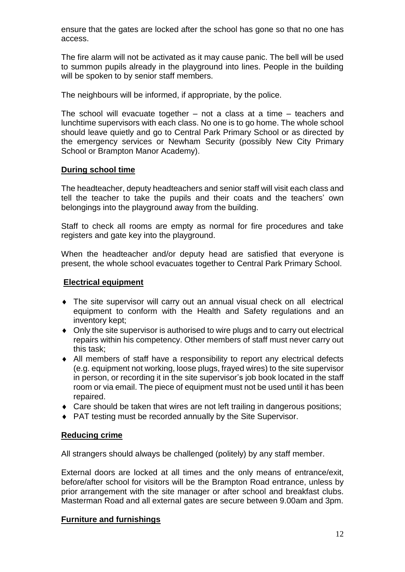ensure that the gates are locked after the school has gone so that no one has access.

The fire alarm will not be activated as it may cause panic. The bell will be used to summon pupils already in the playground into lines. People in the building will be spoken to by senior staff members.

The neighbours will be informed, if appropriate, by the police.

The school will evacuate together – not a class at a time – teachers and lunchtime supervisors with each class. No one is to go home. The whole school should leave quietly and go to Central Park Primary School or as directed by the emergency services or Newham Security (possibly New City Primary School or Brampton Manor Academy).

### **During school time**

The headteacher, deputy headteachers and senior staff will visit each class and tell the teacher to take the pupils and their coats and the teachers' own belongings into the playground away from the building.

Staff to check all rooms are empty as normal for fire procedures and take registers and gate key into the playground.

When the headteacher and/or deputy head are satisfied that everyone is present, the whole school evacuates together to Central Park Primary School.

### **Electrical equipment**

- The site supervisor will carry out an annual visual check on all electrical equipment to conform with the Health and Safety regulations and an inventory kept;
- Only the site supervisor is authorised to wire plugs and to carry out electrical repairs within his competency. Other members of staff must never carry out this task;
- All members of staff have a responsibility to report any electrical defects (e.g. equipment not working, loose plugs, frayed wires) to the site supervisor in person, or recording it in the site supervisor's job book located in the staff room or via email. The piece of equipment must not be used until it has been repaired.
- ◆ Care should be taken that wires are not left trailing in dangerous positions:
- ◆ PAT testing must be recorded annually by the Site Supervisor.

#### **Reducing crime**

All strangers should always be challenged (politely) by any staff member.

External doors are locked at all times and the only means of entrance/exit, before/after school for visitors will be the Brampton Road entrance, unless by prior arrangement with the site manager or after school and breakfast clubs. Masterman Road and all external gates are secure between 9.00am and 3pm.

### **Furniture and furnishings**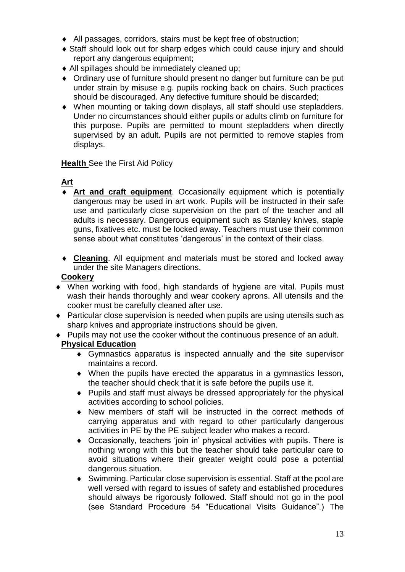- All passages, corridors, stairs must be kept free of obstruction;
- Staff should look out for sharp edges which could cause injury and should report any dangerous equipment;
- All spillages should be immediately cleaned up;
- Ordinary use of furniture should present no danger but furniture can be put under strain by misuse e.g. pupils rocking back on chairs. Such practices should be discouraged. Any defective furniture should be discarded;
- When mounting or taking down displays, all staff should use stepladders. Under no circumstances should either pupils or adults climb on furniture for this purpose. Pupils are permitted to mount stepladders when directly supervised by an adult. Pupils are not permitted to remove staples from displays.

### **Health** See the First Aid Policy

# **Art**

- **Art and craft equipment**. Occasionally equipment which is potentially dangerous may be used in art work. Pupils will be instructed in their safe use and particularly close supervision on the part of the teacher and all adults is necessary. Dangerous equipment such as Stanley knives, staple guns, fixatives etc. must be locked away. Teachers must use their common sense about what constitutes 'dangerous' in the context of their class.
- **Cleaning**. All equipment and materials must be stored and locked away under the site Managers directions.

### **Cookery**

- When working with food, high standards of hygiene are vital. Pupils must wash their hands thoroughly and wear cookery aprons. All utensils and the cooker must be carefully cleaned after use.
- Particular close supervision is needed when pupils are using utensils such as sharp knives and appropriate instructions should be given.
- Pupils may not use the cooker without the continuous presence of an adult.

# **Physical Education**

- Gymnastics apparatus is inspected annually and the site supervisor maintains a record.
- When the pupils have erected the apparatus in a gymnastics lesson, the teacher should check that it is safe before the pupils use it.
- Pupils and staff must always be dressed appropriately for the physical activities according to school policies.
- New members of staff will be instructed in the correct methods of carrying apparatus and with regard to other particularly dangerous activities in PE by the PE subject leader who makes a record.
- Occasionally, teachers 'join in' physical activities with pupils. There is nothing wrong with this but the teacher should take particular care to avoid situations where their greater weight could pose a potential dangerous situation.
- Swimming. Particular close supervision is essential. Staff at the pool are well versed with regard to issues of safety and established procedures should always be rigorously followed. Staff should not go in the pool (see Standard Procedure 54 "Educational Visits Guidance".) The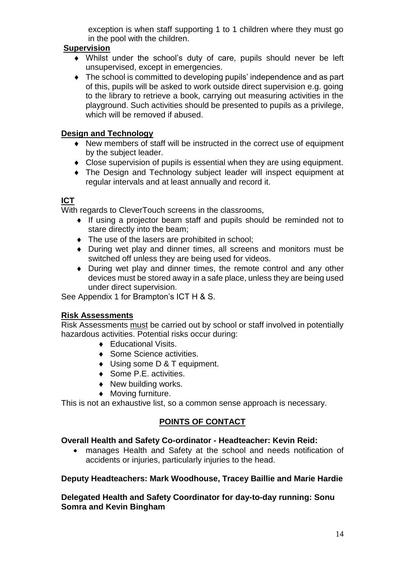exception is when staff supporting 1 to 1 children where they must go in the pool with the children.

### **Supervision**

- Whilst under the school's duty of care, pupils should never be left unsupervised, except in emergencies.
- The school is committed to developing pupils' independence and as part of this, pupils will be asked to work outside direct supervision e.g. going to the library to retrieve a book, carrying out measuring activities in the playground. Such activities should be presented to pupils as a privilege, which will be removed if abused.

### **Design and Technology**

- New members of staff will be instructed in the correct use of equipment by the subject leader.
- Close supervision of pupils is essential when they are using equipment.
- The Design and Technology subject leader will inspect equipment at regular intervals and at least annually and record it.

### **ICT**

With regards to CleverTouch screens in the classrooms,

- If using a projector beam staff and pupils should be reminded not to stare directly into the beam;
- $\bullet$  The use of the lasers are prohibited in school;
- During wet play and dinner times, all screens and monitors must be switched off unless they are being used for videos.
- During wet play and dinner times, the remote control and any other devices must be stored away in a safe place, unless they are being used under direct supervision.

See Appendix 1 for Brampton's ICT H & S.

### **Risk Assessments**

Risk Assessments must be carried out by school or staff involved in potentially hazardous activities. Potential risks occur during:

- ◆ Educational Visits.
- ◆ Some Science activities.
- ◆ Using some D & T equipment.
- ◆ Some P.E. activities.
- New building works.
- Moving furniture.

This is not an exhaustive list, so a common sense approach is necessary.

### **POINTS OF CONTACT**

#### **Overall Health and Safety Co-ordinator - Headteacher: Kevin Reid:**

 manages Health and Safety at the school and needs notification of accidents or injuries, particularly injuries to the head.

#### **Deputy Headteachers: Mark Woodhouse, Tracey Baillie and Marie Hardie**

**Delegated Health and Safety Coordinator for day-to-day running: Sonu Somra and Kevin Bingham**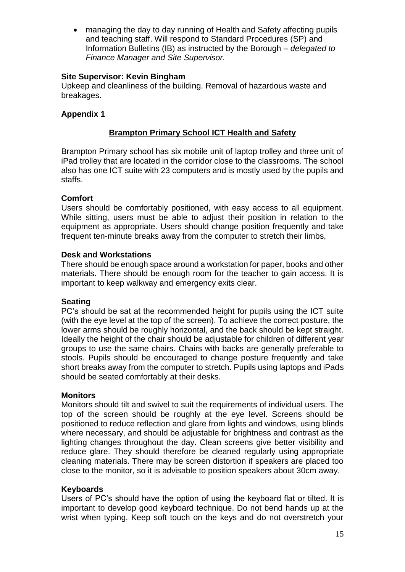managing the day to day running of Health and Safety affecting pupils and teaching staff. Will respond to Standard Procedures (SP) and Information Bulletins (IB) as instructed by the Borough – *delegated to Finance Manager and Site Supervisor.*

#### **Site Supervisor: Kevin Bingham**

Upkeep and cleanliness of the building. Removal of hazardous waste and breakages.

#### **Appendix 1**

### **Brampton Primary School ICT Health and Safety**

Brampton Primary school has six mobile unit of laptop trolley and three unit of iPad trolley that are located in the corridor close to the classrooms. The school also has one ICT suite with 23 computers and is mostly used by the pupils and staffs.

#### **Comfort**

Users should be comfortably positioned, with easy access to all equipment. While sitting, users must be able to adjust their position in relation to the equipment as appropriate. Users should change position frequently and take frequent ten-minute breaks away from the computer to stretch their limbs,

#### **Desk and Workstations**

There should be enough space around a workstation for paper, books and other materials. There should be enough room for the teacher to gain access. It is important to keep walkway and emergency exits clear.

#### **Seating**

PC's should be sat at the recommended height for pupils using the ICT suite (with the eye level at the top of the screen). To achieve the correct posture, the lower arms should be roughly horizontal, and the back should be kept straight. Ideally the height of the chair should be adjustable for children of different year groups to use the same chairs. Chairs with backs are generally preferable to stools. Pupils should be encouraged to change posture frequently and take short breaks away from the computer to stretch. Pupils using laptops and iPads should be seated comfortably at their desks.

#### **Monitors**

Monitors should tilt and swivel to suit the requirements of individual users. The top of the screen should be roughly at the eye level. Screens should be positioned to reduce reflection and glare from lights and windows, using blinds where necessary, and should be adjustable for brightness and contrast as the lighting changes throughout the day. Clean screens give better visibility and reduce glare. They should therefore be cleaned regularly using appropriate cleaning materials. There may be screen distortion if speakers are placed too close to the monitor, so it is advisable to position speakers about 30cm away.

#### **Keyboards**

Users of PC's should have the option of using the keyboard flat or tilted. It is important to develop good keyboard technique. Do not bend hands up at the wrist when typing. Keep soft touch on the keys and do not overstretch your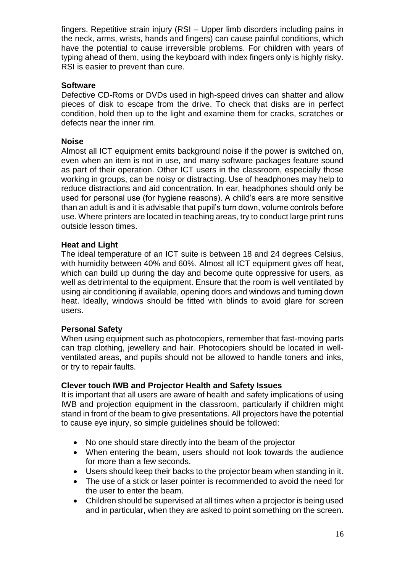fingers. Repetitive strain injury (RSI – Upper limb disorders including pains in the neck, arms, wrists, hands and fingers) can cause painful conditions, which have the potential to cause irreversible problems. For children with years of typing ahead of them, using the keyboard with index fingers only is highly risky. RSI is easier to prevent than cure.

#### **Software**

Defective CD-Roms or DVDs used in high-speed drives can shatter and allow pieces of disk to escape from the drive. To check that disks are in perfect condition, hold then up to the light and examine them for cracks, scratches or defects near the inner rim.

#### **Noise**

Almost all ICT equipment emits background noise if the power is switched on, even when an item is not in use, and many software packages feature sound as part of their operation. Other ICT users in the classroom, especially those working in groups, can be noisy or distracting. Use of headphones may help to reduce distractions and aid concentration. In ear, headphones should only be used for personal use (for hygiene reasons). A child's ears are more sensitive than an adult is and it is advisable that pupil's turn down, volume controls before use. Where printers are located in teaching areas, try to conduct large print runs outside lesson times.

#### **Heat and Light**

The ideal temperature of an ICT suite is between 18 and 24 degrees Celsius, with humidity between 40% and 60%. Almost all ICT equipment gives off heat, which can build up during the day and become quite oppressive for users, as well as detrimental to the equipment. Ensure that the room is well ventilated by using air conditioning if available, opening doors and windows and turning down heat. Ideally, windows should be fitted with blinds to avoid glare for screen users.

#### **Personal Safety**

When using equipment such as photocopiers, remember that fast-moving parts can trap clothing, jewellery and hair. Photocopiers should be located in wellventilated areas, and pupils should not be allowed to handle toners and inks, or try to repair faults.

#### **Clever touch IWB and Projector Health and Safety Issues**

It is important that all users are aware of health and safety implications of using IWB and projection equipment in the classroom, particularly if children might stand in front of the beam to give presentations. All projectors have the potential to cause eye injury, so simple guidelines should be followed:

- No one should stare directly into the beam of the projector
- When entering the beam, users should not look towards the audience for more than a few seconds.
- Users should keep their backs to the projector beam when standing in it.
- The use of a stick or laser pointer is recommended to avoid the need for the user to enter the beam.
- Children should be supervised at all times when a projector is being used and in particular, when they are asked to point something on the screen.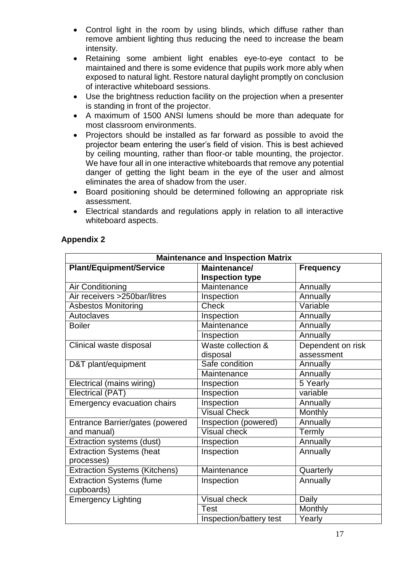- Control light in the room by using blinds, which diffuse rather than remove ambient lighting thus reducing the need to increase the beam intensity.
- Retaining some ambient light enables eye-to-eye contact to be maintained and there is some evidence that pupils work more ably when exposed to natural light. Restore natural daylight promptly on conclusion of interactive whiteboard sessions.
- Use the brightness reduction facility on the projection when a presenter is standing in front of the projector.
- A maximum of 1500 ANSI lumens should be more than adequate for most classroom environments.
- Projectors should be installed as far forward as possible to avoid the projector beam entering the user's field of vision. This is best achieved by ceiling mounting, rather than floor-or table mounting, the projector. We have four all in one interactive whiteboards that remove any potential danger of getting the light beam in the eye of the user and almost eliminates the area of shadow from the user.
- Board positioning should be determined following an appropriate risk assessment.
- Electrical standards and regulations apply in relation to all interactive whiteboard aspects.

| <b>Maintenance and Inspection Matrix</b> |                         |                   |  |  |
|------------------------------------------|-------------------------|-------------------|--|--|
| <b>Plant/Equipment/Service</b>           | Maintenance/            | <b>Frequency</b>  |  |  |
|                                          | <b>Inspection type</b>  |                   |  |  |
| Air Conditioning                         | Maintenance             | Annually          |  |  |
| Air receivers >250bar/litres             | Inspection              | Annually          |  |  |
| <b>Asbestos Monitoring</b>               | Check                   | Variable          |  |  |
| Autoclaves                               | Inspection              | Annually          |  |  |
| <b>Boiler</b>                            | Maintenance             | Annually          |  |  |
|                                          | Inspection              | Annually          |  |  |
| Clinical waste disposal                  | Waste collection &      | Dependent on risk |  |  |
|                                          | disposal                | assessment        |  |  |
| D&T plant/equipment                      | Safe condition          | Annually          |  |  |
|                                          | Maintenance             | Annually          |  |  |
| Electrical (mains wiring)                | Inspection              | 5 Yearly          |  |  |
| Electrical (PAT)                         | Inspection              | variable          |  |  |
| Emergency evacuation chairs              | Inspection              | Annually          |  |  |
|                                          | <b>Visual Check</b>     | Monthly           |  |  |
| Entrance Barrier/gates (powered          | Inspection (powered)    | Annually          |  |  |
| and manual)                              | <b>Visual check</b>     | Termly            |  |  |
| Extraction systems (dust)                | Inspection              | Annually          |  |  |
| <b>Extraction Systems (heat</b>          | Inspection              | Annually          |  |  |
| processes)                               |                         |                   |  |  |
| <b>Extraction Systems (Kitchens)</b>     | Maintenance             | Quarterly         |  |  |
| <b>Extraction Systems (fume</b>          | Inspection              | Annually          |  |  |
| cupboards)                               |                         |                   |  |  |
| <b>Emergency Lighting</b>                | Visual check            | Daily             |  |  |
|                                          | <b>Test</b>             | Monthly           |  |  |
|                                          | Inspection/battery test | Yearly            |  |  |

### **Appendix 2**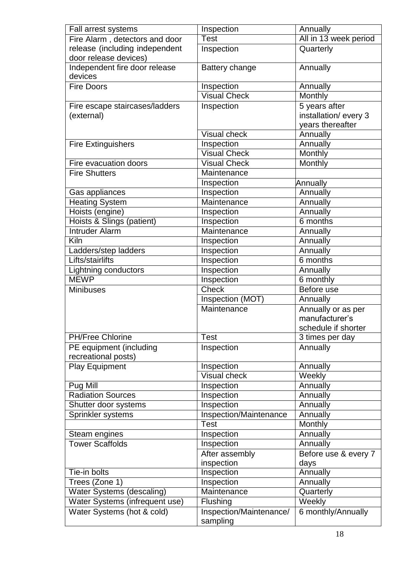| Fall arrest systems            | Inspection              | Annually              |
|--------------------------------|-------------------------|-----------------------|
| Fire Alarm, detectors and door | Test                    | All in 13 week period |
| release (including independent | Inspection              | Quarterly             |
| door release devices)          |                         |                       |
| Independent fire door release  | Battery change          | Annually              |
| devices                        |                         |                       |
| <b>Fire Doors</b>              | Inspection              | Annually              |
|                                | <b>Visual Check</b>     | Monthly               |
| Fire escape staircases/ladders | Inspection              | 5 years after         |
| (external)                     |                         | installation/every 3  |
|                                |                         | years thereafter      |
|                                | <b>Visual check</b>     | Annually              |
| <b>Fire Extinguishers</b>      | Inspection              | Annually              |
|                                | <b>Visual Check</b>     | Monthly               |
| Fire evacuation doors          | <b>Visual Check</b>     | Monthly               |
| <b>Fire Shutters</b>           | Maintenance             |                       |
|                                | Inspection              | Annually              |
| Gas appliances                 | Inspection              | Annually              |
| <b>Heating System</b>          | Maintenance             | Annually              |
| Hoists (engine)                | Inspection              | Annually              |
| Hoists & Slings (patient)      | Inspection              | 6 months              |
| <b>Intruder Alarm</b>          | Maintenance             | Annually              |
| Kiln                           | Inspection              | Annually              |
| Ladders/step ladders           | Inspection              | Annually              |
| Lifts/stairlifts               | Inspection              | 6 months              |
| Lightning conductors           | Inspection              | Annually              |
| <b>MEWP</b>                    | Inspection              | 6 monthly             |
| <b>Minibuses</b>               | <b>Check</b>            | Before use            |
|                                | <b>Inspection (MOT)</b> | Annually              |
|                                | Maintenance             | Annually or as per    |
|                                |                         | manufacturer's        |
|                                |                         | schedule if shorter   |
| <b>PH/Free Chlorine</b>        | <b>Test</b>             | 3 times per day       |
| PE equipment (including        | Inspection              | Annually              |
| recreational posts)            |                         |                       |
| <b>Play Equipment</b>          | Inspection              | Annually              |
|                                | <b>Visual check</b>     | Weekly                |
| Pug Mill                       | Inspection              | Annually              |
| <b>Radiation Sources</b>       | Inspection              | Annually              |
| Shutter door systems           | Inspection              | Annually              |
| Sprinkler systems              | Inspection/Maintenance  | Annually              |
|                                | <b>Test</b>             | Monthly               |
| Steam engines                  | Inspection              | Annually              |
| <b>Tower Scaffolds</b>         | Inspection              | Annually              |
|                                | After assembly          | Before use & every 7  |
|                                | inspection              | days                  |
| Tie-in bolts                   | Inspection              | Annually              |
| Trees (Zone 1)                 | Inspection              | Annually              |
| Water Systems (descaling)      | Maintenance             | Quarterly             |
| Water Systems (infrequent use) | Flushing                | Weekly                |
| Water Systems (hot & cold)     | Inspection/Maintenance/ | 6 monthly/Annually    |
|                                | sampling                |                       |